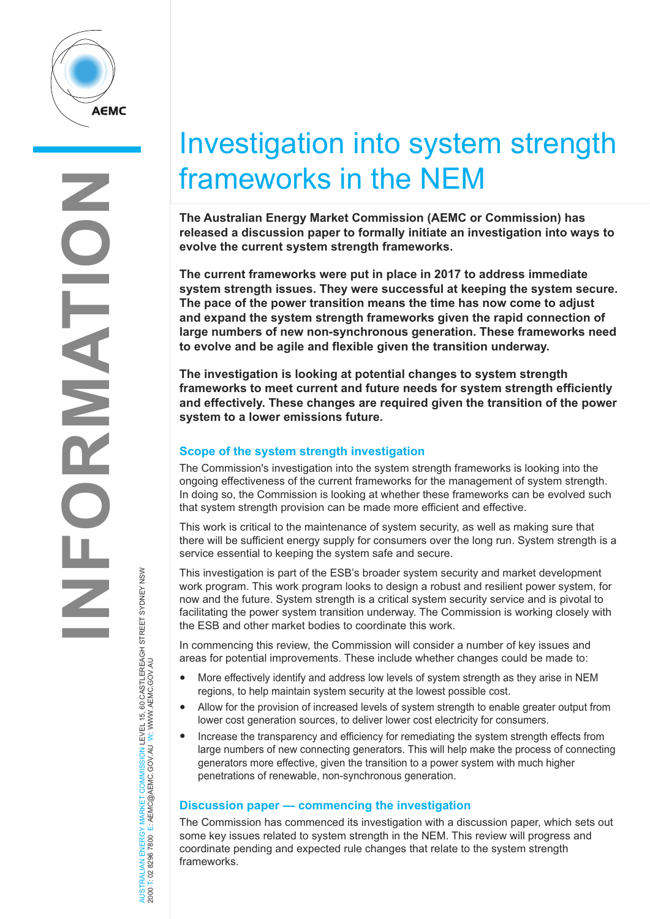

**INFORMATION OILATIO**  $\frac{\mathsf{L}}{\mathsf{L}}$ 

# Y MARKET COMMISSION LEVEL 15, 60 CASTLEREAGH STREET SYDNEY NSW<br>E: AEMC@AEMC.GOV AU W. WWW AEMC.GOV AU AUSTRALIAN ENERGY MARKET COMMISSION LEVEL 15, 60 CASTLEREAGH STREET SYDNEY NSW 2000 T: 02 8296 7800 E: AEMC@AEMC.GOV.AU W: WWW.AEMC.GOV.AU AUSTRALIAN ENERGY MARKET<br>2000 T: 02 8296 7800 E: AEMC@

## Investigation into system strength frameworks in the NEM

**The Australian Energy Market Commission (AEMC or Commission) has released a discussion paper to formally initiate an investigation into ways to evolve the current system strength frameworks.**

**The current frameworks were put in place in 2017 to address immediate system strength issues. They were successful at keeping the system secure. The pace of the power transition means the time has now come to adjust and expand the system strength frameworks given the rapid connection of large numbers of new non-synchronous generation. These frameworks need to evolve and be agile and flexible given the transition underway.**

**The investigation is looking at potential changes to system strength frameworks to meet current and future needs for system strength efficiently and effectively. These changes are required given the transition of the power system to a lower emissions future.**

#### **Scope of the system strength investigation**

The Commission's investigation into the system strength frameworks is looking into the ongoing effectiveness of the current frameworks for the management of system strength. In doing so, the Commission is looking at whether these frameworks can be evolved such that system strength provision can be made more efficient and effective.

This work is critical to the maintenance of system security, as well as making sure that there will be sufficient energy supply for consumers over the long run. System strength is a service essential to keeping the system safe and secure.

This investigation is part of the ESB's broader system security and market development work program. This work program looks to design a robust and resilient power system, for now and the future. System strength is a critical system security service and is pivotal to facilitating the power system transition underway. The Commission is working closely with the ESB and other market bodies to coordinate this work.

In commencing this review, the Commission will consider a number of key issues and areas for potential improvements. These include whether changes could be made to:

- More effectively identify and address low levels of system strength as they arise in NEM regions, to help maintain system security at the lowest possible cost.
- Allow for the provision of increased levels of system strength to enable greater output from lower cost generation sources, to deliver lower cost electricity for consumers.
- Increase the transparency and efficiency for remediating the system strength effects from large numbers of new connecting generators. This will help make the process of connecting generators more effective, given the transition to a power system with much higher penetrations of renewable, non-synchronous generation.

### **Discussion paper — commencing the investigation**

The Commission has commenced its investigation with a discussion paper, which sets out some key issues related to system strength in the NEM. This review will progress and coordinate pending and expected rule changes that relate to the system strength frameworks.